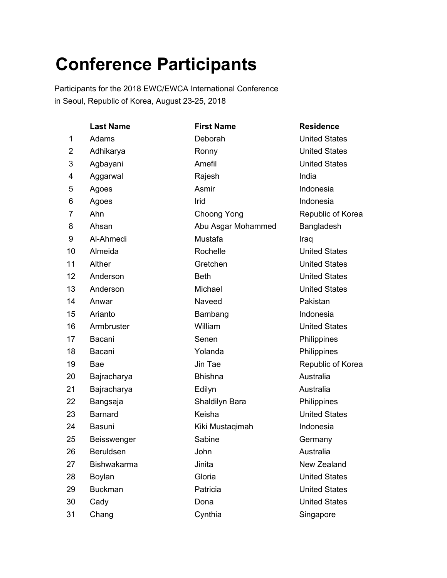## **Conference Participants**

Participants for the 2018 EWC/EWCA International Conference in Seoul, Republic of Korea, August 23-25, 2018

|    | <b>Last Name</b>   | <b>First Name</b>  | <b>Residence</b>     |
|----|--------------------|--------------------|----------------------|
| 1  | Adams              | Deborah            | <b>United States</b> |
| 2  | Adhikarya          | Ronny              | <b>United States</b> |
| 3  | Agbayani           | Amefil             | <b>United States</b> |
| 4  | Aggarwal           | Rajesh             | India                |
| 5  | Agoes              | Asmir              | Indonesia            |
| 6  | Agoes              | Irid               | Indonesia            |
| 7  | Ahn                | Choong Yong        | Republic of K        |
| 8  | Ahsan              | Abu Asgar Mohammed | Bangladesh           |
| 9  | Al-Ahmedi          | Mustafa            | Iraq                 |
| 10 | Almeida            | Rochelle           | <b>United States</b> |
| 11 | Alther             | Gretchen           | <b>United States</b> |
| 12 | Anderson           | <b>Beth</b>        | <b>United States</b> |
| 13 | Anderson           | Michael            | <b>United States</b> |
| 14 | Anwar              | Naveed             | Pakistan             |
| 15 | Arianto            | Bambang            | Indonesia            |
| 16 | Armbruster         | William            | <b>United States</b> |
| 17 | Bacani             | Senen              | Philippines          |
| 18 | Bacani             | Yolanda            | Philippines          |
| 19 | Bae                | Jin Tae            | Republic of K        |
| 20 | Bajracharya        | <b>Bhishna</b>     | Australia            |
| 21 | Bajracharya        | Edilyn             | Australia            |
| 22 | Bangsaja           | Shaldilyn Bara     | Philippines          |
| 23 | <b>Barnard</b>     | Keisha             | <b>United States</b> |
| 24 | <b>Basuni</b>      | Kiki Mustaqimah    | Indonesia            |
| 25 | Beisswenger        | Sabine             | Germany              |
| 26 | Beruldsen          | John               | Australia            |
| 27 | <b>Bishwakarma</b> | Jinita             | New Zealand          |
| 28 | Boylan             | Gloria             | <b>United States</b> |
| 29 | <b>Buckman</b>     | Patricia           | <b>United States</b> |
| 30 | Cady               | Dona               | <b>United States</b> |
| 31 | Chang              | Cynthia            | Singapore            |

ublic of Korea gladesh ed States ublic of Korea ed States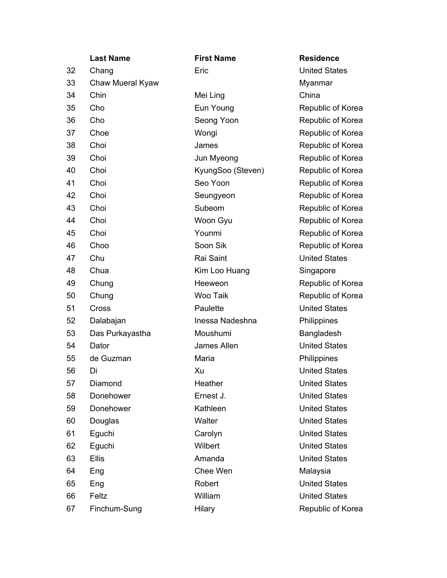|    | <b>Last Name</b> | <b>First Name</b> | <b>Residence</b>     |
|----|------------------|-------------------|----------------------|
| 32 | Chang            | Eric              | <b>United States</b> |
| 33 | Chaw Mueral Kyaw |                   | Myanmar              |
| 34 | Chin             | Mei Ling          | China                |
| 35 | Cho              | Eun Young         | Republic of Korea    |
| 36 | Cho              | Seong Yoon        | Republic of Korea    |
| 37 | Choe             | Wongi             | Republic of Korea    |
| 38 | Choi             | James             | Republic of Korea    |
| 39 | Choi             | Jun Myeong        | Republic of Korea    |
| 40 | Choi             | KyungSoo (Steven) | Republic of Korea    |
| 41 | Choi             | Seo Yoon          | Republic of Korea    |
| 42 | Choi             | Seungyeon         | Republic of Korea    |
| 43 | Choi             | Subeom            | Republic of Korea    |
| 44 | Choi             | Woon Gyu          | Republic of Korea    |
| 45 | Choi             | Younmi            | Republic of Korea    |
| 46 | Choo             | Soon Sik          | Republic of Korea    |
| 47 | Chu              | Rai Saint         | <b>United States</b> |
| 48 | Chua             | Kim Loo Huang     | Singapore            |
| 49 | Chung            | Heeweon           | Republic of Korea    |
| 50 | Chung            | Woo Taik          | Republic of Korea    |
| 51 | Cross            | Paulette          | <b>United States</b> |
| 52 | Dalabajan        | Inessa Nadeshna   | Philippines          |
| 53 | Das Purkayastha  | Moushumi          | Bangladesh           |
| 54 | Dator            | James Allen       | <b>United States</b> |
| 55 | de Guzman        | Maria             | Philippines          |
| 56 | Di               | Xu                | <b>United States</b> |
| 57 | Diamond          | Heather           | <b>United States</b> |
| 58 | Donehower        | Ernest J.         | <b>United States</b> |
| 59 | Donehower        | Kathleen          | <b>United States</b> |
| 60 | Douglas          | Walter            | <b>United States</b> |
| 61 | Eguchi           | Carolyn           | <b>United States</b> |
| 62 | Eguchi           | Wilbert           | <b>United States</b> |
| 63 | <b>Ellis</b>     | Amanda            | <b>United States</b> |
| 64 | Eng              | Chee Wen          | Malaysia             |
| 65 | Eng              | Robert            | <b>United States</b> |
| 66 | Feltz            | William           | <b>United States</b> |
| 67 | Finchum-Sung     | Hilary            | Republic of Korea    |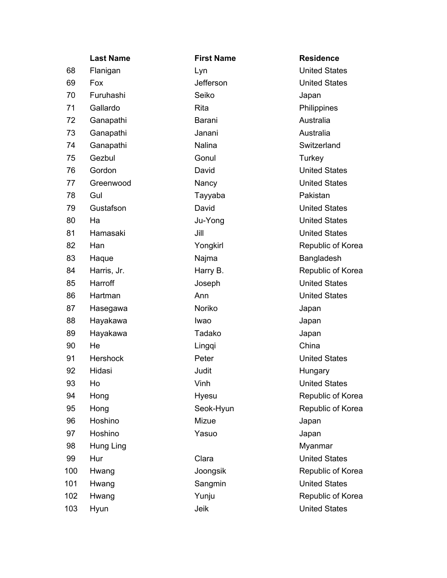|     | Last Name       | <b>First Name</b> | <b>Residen</b>  |
|-----|-----------------|-------------------|-----------------|
| 68  | Flanigan        | Lyn               | <b>United S</b> |
| 69  | Fox             | Jefferson         | <b>United S</b> |
| 70  | Furuhashi       | Seiko             | Japan           |
| 71  | Gallardo        | Rita              | Philippin       |
| 72  | Ganapathi       | Barani            | Australia       |
| 73  | Ganapathi       | Janani            | Australia       |
| 74  | Ganapathi       | Nalina            | Switzerla       |
| 75  | Gezbul          | Gonul             | Turkey          |
| 76  | Gordon          | David             | <b>United S</b> |
| 77  | Greenwood       | Nancy             | <b>United S</b> |
| 78  | Gul             | Tayyaba           | Pakistan        |
| 79  | Gustafson       | David             | <b>United S</b> |
| 80  | Ha              | Ju-Yong           | <b>United S</b> |
| 81  | Hamasaki        | Jill              | <b>United S</b> |
| 82  | Han             | Yongkirl          | Republic        |
| 83  | Haque           | Najma             | Banglade        |
| 84  | Harris, Jr.     | Harry B.          | Republic        |
| 85  | Harroff         | Joseph            | <b>United S</b> |
| 86  | Hartman         | Ann               | <b>United S</b> |
| 87  | Hasegawa        | Noriko            | Japan           |
| 88  | Hayakawa        | Iwao              | Japan           |
| 89  | Hayakawa        | Tadako            | Japan           |
| 90  | He              | Lingqi            | China           |
| 91  | <b>Hershock</b> | Peter             | <b>United S</b> |
| 92  | Hidasi          | Judit             | Hungary         |
| 93  | Ho              | Vinh              | <b>United S</b> |
| 94  | Hong            | Hyesu             | Republic        |
| 95  | Hong            | Seok-Hyun         | Republic        |
| 96  | Hoshino         | Mizue             | Japan           |
| 97  | Hoshino         | Yasuo             | Japan           |
| 98  | Hung Ling       |                   | Myanma          |
| 99  | Hur             | Clara             | <b>United S</b> |
| 100 | Hwang           | Joongsik          | Republic        |
| 101 | Hwang           | Sangmin           | <b>United S</b> |
| 102 | Hwang           | Yunju             | Republic        |
| 103 | Hyun            | Jeik              | <b>United S</b> |

**Last Name** Residence

Lyn United States **Jefferson** United States **71 Gallardo Rita** Philippines **Nalina Canadian Switzerland David** David **David** United States **77 Nancy Communist Communist Communist Communist Communist Communist Communist Communist Communist Communist Communist Communist Communist Communist Communist Communist Communist Communist Communist Communist Communist Co David David David David United States 30 Ju-Yong Communist Communist Communist Communist Communist Communist Communist Communist Communist Communist Communist Communist Communist Communist Communist Communist Communist Communist Communist Communist Communist** 81 Hamasaki Jill United States Yongkirl Republic of Korea Najma **Bangladesh** Harry B. **Republic of Korea Solution Joseph Contract Contract United States** Ann **Ann** United States Peter **Peter** United States Vinh Vinh United States Hyesu **Republic of Korea** Seok-Hyun Republic of Korea Myanmar Clara **Durition United States** Joongsik Republic of Korea **101** Sangmin **Manufature United States** Yunju Republic of Korea **1** Jeik **United States**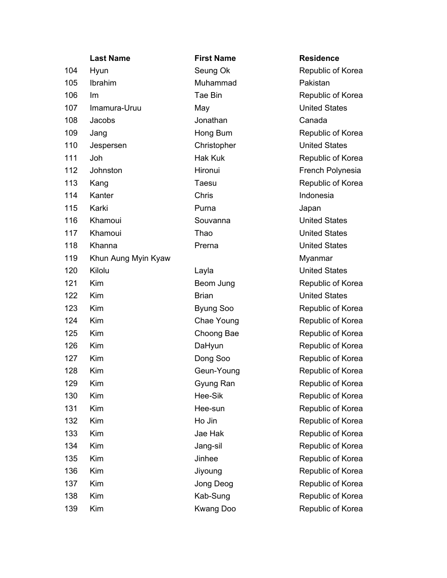|     | <b>Last Name</b>    | <b>First Name</b> | <b>Residence</b>     |
|-----|---------------------|-------------------|----------------------|
| 104 | Hyun                | Seung Ok          | Republic of Korea    |
| 105 | Ibrahim             | Muhammad          | Pakistan             |
| 106 | Im                  | Tae Bin           | Republic of Korea    |
| 107 | Imamura-Uruu        | May               | <b>United States</b> |
| 108 | Jacobs              | Jonathan          | Canada               |
| 109 | Jang                | Hong Bum          | Republic of Korea    |
| 110 | Jespersen           | Christopher       | <b>United States</b> |
| 111 | Joh                 | <b>Hak Kuk</b>    | Republic of Korea    |
| 112 | Johnston            | Hironui           | French Polynesia     |
| 113 | Kang                | Taesu             | Republic of Korea    |
| 114 | Kanter              | Chris             | Indonesia            |
| 115 | Karki               | Purna             | Japan                |
| 116 | Khamoui             | Souvanna          | <b>United States</b> |
| 117 | Khamoui             | Thao              | <b>United States</b> |
| 118 | Khanna              | Prerna            | <b>United States</b> |
| 119 | Khun Aung Myin Kyaw |                   | Myanmar              |
| 120 | Kilolu              | Layla             | <b>United States</b> |
| 121 | Kim                 | Beom Jung         | Republic of Korea    |
| 122 | Kim                 | <b>Brian</b>      | <b>United States</b> |
| 123 | Kim                 | <b>Byung Soo</b>  | Republic of Korea    |
| 124 | Kim                 | Chae Young        | Republic of Korea    |
| 125 | Kim                 | Choong Bae        | Republic of Korea    |
| 126 | Kim                 | DaHyun            | Republic of Korea    |
| 127 | Kim                 | Dong Soo          | Republic of Korea    |
| 128 | Kim                 | Geun-Young        | Republic of Korea    |
| 129 | Kim                 | Gyung Ran         | Republic of Korea    |
| 130 | Kim                 | Hee-Sik           | Republic of Korea    |
| 131 | Kim                 | Hee-sun           | Republic of Korea    |
| 132 | Kim                 | Ho Jin            | Republic of Korea    |
| 133 | Kim                 | Jae Hak           | Republic of Korea    |
| 134 | Kim                 | Jang-sil          | Republic of Korea    |
| 135 | Kim                 | Jinhee            | Republic of Korea    |
| 136 | Kim                 | Jiyoung           | Republic of Korea    |
| 137 | Kim                 | Jong Deog         | Republic of Korea    |
| 138 | Kim                 | Kab-Sung          | Republic of Korea    |
| 139 | Kim                 | <b>Kwang Doo</b>  | Republic of Korea    |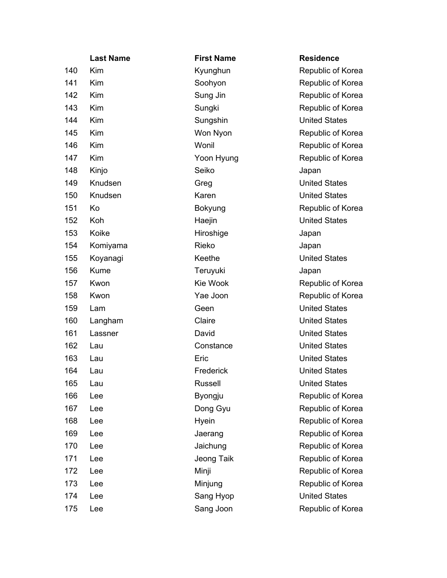|     | <b>Last Name</b> | <b>First Name</b> | <b>Residence</b>     |
|-----|------------------|-------------------|----------------------|
| 140 | Kim              | Kyunghun          | Republic of Korea    |
| 141 | Kim              | Soohyon           | Republic of Korea    |
| 142 | Kim              | Sung Jin          | Republic of Korea    |
| 143 | Kim              | Sungki            | Republic of Korea    |
| 144 | Kim              | Sungshin          | <b>United States</b> |
| 145 | Kim              | Won Nyon          | Republic of Korea    |
| 146 | Kim              | Wonil             | Republic of Korea    |
| 147 | Kim              | Yoon Hyung        | Republic of Korea    |
| 148 | Kinjo            | Seiko             | Japan                |
| 149 | Knudsen          | Greg              | <b>United States</b> |
| 150 | Knudsen          | Karen             | <b>United States</b> |
| 151 | Ko               | <b>Bokyung</b>    | Republic of Korea    |
| 152 | Koh              | Haejin            | <b>United States</b> |
| 153 | Koike            | Hiroshige         | Japan                |
| 154 | Komiyama         | Rieko             | Japan                |
| 155 | Koyanagi         | Keethe            | <b>United States</b> |
| 156 | <b>Kume</b>      | Teruyuki          | Japan                |
| 157 | Kwon             | Kie Wook          | Republic of Korea    |
| 158 | Kwon             | Yae Joon          | Republic of Korea    |
| 159 | Lam              | Geen              | <b>United States</b> |
| 160 | Langham          | Claire            | <b>United States</b> |
| 161 | Lassner          | David             | <b>United States</b> |
| 162 | Lau              | Constance         | <b>United States</b> |
| 163 | Lau              | Eric              | <b>United States</b> |
| 164 | Lau              | Frederick         | <b>United States</b> |
| 165 | Lau              | Russell           | <b>United States</b> |
| 166 | Lee              | <b>Byongju</b>    | Republic of Korea    |
| 167 | Lee              | Dong Gyu          | Republic of Korea    |
| 168 | Lee              | Hyein             | Republic of Korea    |
| 169 | Lee              | Jaerang           | Republic of Korea    |
| 170 | Lee              | Jaichung          | Republic of Korea    |
| 171 | Lee              | Jeong Taik        | Republic of Korea    |
| 172 | Lee              | Minji             | Republic of Korea    |
| 173 | Lee              | Minjung           | Republic of Korea    |
| 174 | Lee              | Sang Hyop         | <b>United States</b> |
| 175 | Lee              | Sang Joon         | Republic of Korea    |
|     |                  |                   |                      |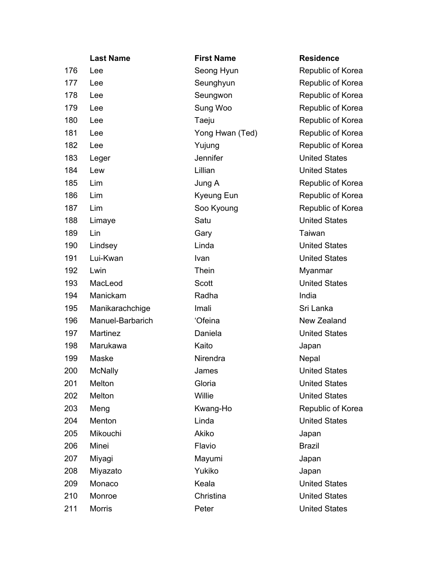|     | <b>Last Name</b> | <b>First Name</b> | <b>Residence</b>     |
|-----|------------------|-------------------|----------------------|
| 176 | Lee              | Seong Hyun        | Republic of Korea    |
| 177 | Lee              | Seunghyun         | Republic of Korea    |
| 178 | Lee              | Seungwon          | Republic of Korea    |
| 179 | Lee              | Sung Woo          | Republic of Korea    |
| 180 | Lee              | Taeju             | Republic of Korea    |
| 181 | Lee              | Yong Hwan (Ted)   | Republic of Korea    |
| 182 | Lee              | Yujung            | Republic of Korea    |
| 183 | Leger            | Jennifer          | <b>United States</b> |
| 184 | Lew              | Lillian           | <b>United States</b> |
| 185 | Lim              | Jung A            | Republic of Korea    |
| 186 | Lim              | Kyeung Eun        | Republic of Korea    |
| 187 | Lim              | Soo Kyoung        | Republic of Korea    |
| 188 | Limaye           | Satu              | <b>United States</b> |
| 189 | Lin              | Gary              | Taiwan               |
| 190 | Lindsey          | Linda             | <b>United States</b> |
| 191 | Lui-Kwan         | Ivan              | <b>United States</b> |
| 192 | Lwin             | Thein             | Myanmar              |
| 193 | MacLeod          | Scott             | <b>United States</b> |
| 194 | Manickam         | Radha             | India                |
| 195 | Manikarachchige  | Imali             | Sri Lanka            |
| 196 | Manuel-Barbarich | 'Ofeina           | New Zealand          |
| 197 | Martinez         | Daniela           | <b>United States</b> |
| 198 | Marukawa         | Kaito             | Japan                |
| 199 | Maske            | Nirendra          | Nepal                |
| 200 | McNally          | James             | <b>United States</b> |
| 201 | Melton           | Gloria            | <b>United States</b> |
| 202 | Melton           | Willie            | <b>United States</b> |
| 203 | Meng             | Kwang-Ho          | Republic of Korea    |
| 204 | Menton           | Linda             | <b>United States</b> |
| 205 | Mikouchi         | Akiko             | Japan                |
| 206 | Minei            | Flavio            | <b>Brazil</b>        |
| 207 | Miyagi           | Mayumi            | Japan                |
| 208 | Miyazato         | Yukiko            | Japan                |
| 209 | Monaco           | Keala             | <b>United States</b> |
| 210 | Monroe           | Christina         | <b>United States</b> |
| 211 | <b>Morris</b>    | Peter             | <b>United States</b> |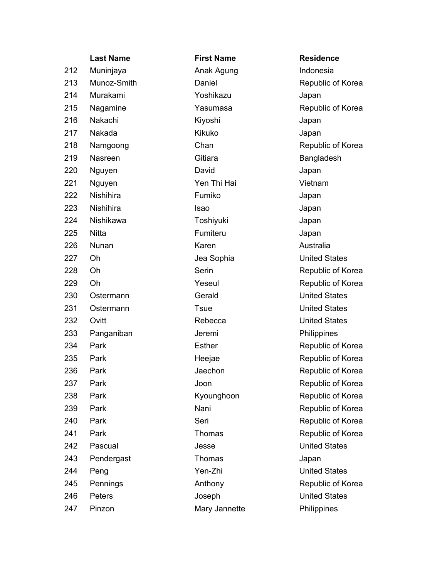|     | <b>Last Name</b> | <b>First Name</b> | <b>Residence</b>    |
|-----|------------------|-------------------|---------------------|
| 212 | Muninjaya        | Anak Agung        | Indonesia           |
| 213 | Munoz-Smith      | Daniel            | Republic of         |
| 214 | Murakami         | Yoshikazu         | Japan               |
| 215 | Nagamine         | Yasumasa          | Republic of         |
| 216 | Nakachi          | Kiyoshi           | Japan               |
| 217 | Nakada           | Kikuko            | Japan               |
| 218 | Namgoong         | Chan              | Republic of         |
| 219 | Nasreen          | Gitiara           | Bangladesh          |
| 220 | Nguyen           | David             | Japan               |
| 221 | Nguyen           | Yen Thi Hai       | Vietnam             |
| 222 | Nishihira        | Fumiko            | Japan               |
| 223 | Nishihira        | Isao              | Japan               |
| 224 | Nishikawa        | Toshiyuki         | Japan               |
| 225 | Nitta            | Fumiteru          | Japan               |
| 226 | Nunan            | Karen             | Australia           |
| 227 | Oh               | Jea Sophia        | <b>United State</b> |
| 228 | Oh               | Serin             | Republic of         |
| 229 | Oh               | Yeseul            | Republic of         |
| 230 | Ostermann        | Gerald            | <b>United State</b> |
| 231 | Ostermann        | <b>Tsue</b>       | <b>United State</b> |
| 232 | Ovitt            | Rebecca           | <b>United State</b> |
| 233 | Panganiban       | Jeremi            | Philippines         |
| 234 | Park             | <b>Esther</b>     | Republic of         |
| 235 | Park             | Heejae            | Republic of         |
| 236 | Park             | Jaechon           | Republic of         |
| 237 | Park             | Joon              | Republic of         |
| 238 | Park             | Kyounghoon        | Republic of         |
| 239 | Park             | Nani              | Republic of         |
| 240 | Park             | Seri              | Republic of         |
| 241 | Park             | Thomas            | Republic of         |
| 242 | Pascual          | Jesse             | <b>United State</b> |
| 243 | Pendergast       | Thomas            | Japan               |
| 244 | Peng             | Yen-Zhi           | <b>United State</b> |
| 245 | Pennings         | Anthony           | Republic of         |
| 246 | Peters           | Joseph            | <b>United State</b> |
| 247 | Pinzon           | Mary Jannette     | Philippines         |

**213 Daniel Communist Communist Property Republic of Korea** Yasumasa Republic of Korea **218 Chan** Republic of Korea Jea Sophia **Dhuited States 228 Serin Republic of Korea 229 Yeseul Republic of Korea 231 Ostermann Gerald Cerald United States 231 Tsue Contract Contract Contract Contract Contract Contract Contract Contract Contract Contract Contract Contract Contract Contract Contract Contract Contract Contract Contract Contract Contract Contract Contract Contr 232 Rebecca** United States Esther Republic of Korea **235 Park Heejae Republic of Korea** Jaechon Republic of Korea **237 Joon Republic of Korea** Kyounghoon Republic of Korea Nani Republic of Korea **241 Seri Republic of Korea** Thomas Republic of Korea **242 Jesse Contract Contract Contract United States 244 Pen-Zhi Charlotter Charlotter Charlotter United States** Anthony Republic of Korea **246 Joseph 246 Peters Vistantian American States**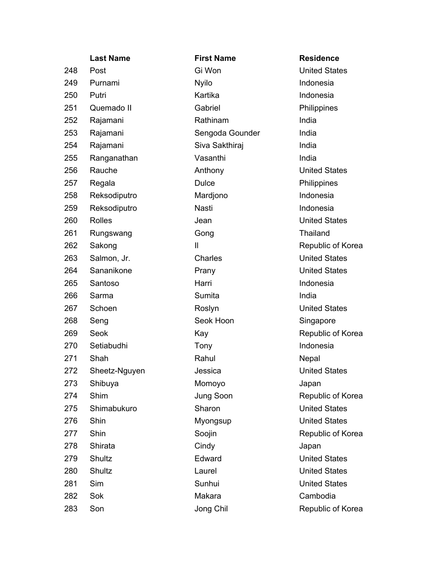|     | <b>Last Name</b> | <b>First Name</b> | <b>Residenc</b>   |
|-----|------------------|-------------------|-------------------|
| 248 | Post             | Gi Won            | <b>United Sta</b> |
| 249 | Purnami          | <b>Nyilo</b>      | Indonesia         |
| 250 | Putri            | Kartika           | Indonesia         |
| 251 | Quemado II       | Gabriel           | Philippine        |
| 252 | Rajamani         | Rathinam          | India             |
| 253 | Rajamani         | Sengoda Gounder   | India             |
| 254 | Rajamani         | Siva Sakthiraj    | India             |
| 255 | Ranganathan      | Vasanthi          | India             |
| 256 | Rauche           | Anthony           | <b>United Sta</b> |
| 257 | Regala           | <b>Dulce</b>      | Philippine        |
| 258 | Reksodiputro     | Mardjono          | Indonesia         |
| 259 | Reksodiputro     | Nasti             | Indonesia         |
| 260 | <b>Rolles</b>    | Jean              | <b>United Sta</b> |
| 261 | Rungswang        | Gong              | Thailand          |
| 262 | Sakong           | Ш                 | Republic          |
| 263 | Salmon, Jr.      | Charles           | <b>United Sta</b> |
| 264 | Sananikone       | Prany             | <b>United Sta</b> |
| 265 | Santoso          | Harri             | Indonesia         |
| 266 | Sarma            | Sumita            | India             |
| 267 | Schoen           | Roslyn            | <b>United Sta</b> |
| 268 | Seng             | Seok Hoon         | Singapore         |
| 269 | Seok             | Kay               | Republic          |
| 270 | Setiabudhi       | Tony              | Indonesia         |
| 271 | Shah             | Rahul             | Nepal             |
| 272 | Sheetz-Nguyen    | Jessica           | <b>United Sta</b> |
| 273 | Shibuya          | Momoyo            | Japan             |
| 274 | Shim             | Jung Soon         | Republic          |
| 275 | Shimabukuro      | Sharon            | <b>United Sta</b> |
| 276 | Shin             | Myongsup          | <b>United Sta</b> |
| 277 | Shin             | Soojin            | Republic          |
| 278 | Shirata          | Cindy             | Japan             |
| 279 | Shultz           | Edward            | <b>United Sta</b> |
| 280 | Shultz           | Laurel            | <b>United Sta</b> |
| 281 | Sim              | Sunhui            | <b>United Sta</b> |
| 282 | Sok              | Makara            | Cambodia          |
| 283 | Son              | Jong Chil         | Republic          |

## **Last Name First Name Residence**

**248 Boston Ci Won Ci Won United States** Kartika **Indonesia** Gabriel **Cabriel** Philippines Rathinam India Sengoda Gounder India Siva Sakthiraj **India** Vasanthi India Anthony **Disk Anthony** United States Dulce **Dulce** Philippines Mardjono Indonesia Nasti **Nasti Indonesia 260 Jean Lines Construction Construction Construction Construction Construction Construction Construction Construction Construction Construction Construction Construction Construction Construction Construction Constructio 263 Charles Charles Charles United States** Prany **Disk Bananikone Prany Prany Prany** United States **267 Roslyn Communist Communist Communist Communist Communist Communist Communist Communist Communist Communist Communist Communist Communist Communist Communist Communist Communist Communist Communist Communist Communist 268 Seok Hoon** Singapore **271 Tony 270 Setiabuddhi Tony Indonesia 272 Jessica** Christellines United States Momoyo Japan 275 Sharon **Canada Extracts** United States Myongsup **276 Shine Myongsup** United States Edward **Edward** United States Laurel **Laurel** United States **281 Sunhui Community Community Community** United States Makara **Cambodia** Jong Chil **Chil Republic of Korea** 

Il Republic of Korea Kay Republic of Korea Jung Soon Republic of Korea **277 Soojin Soojin Soojin Soojin Soojin Soojin Soojin Soojin Soojin Soojin Soojin Soojin Soojin Soojin Soojin S**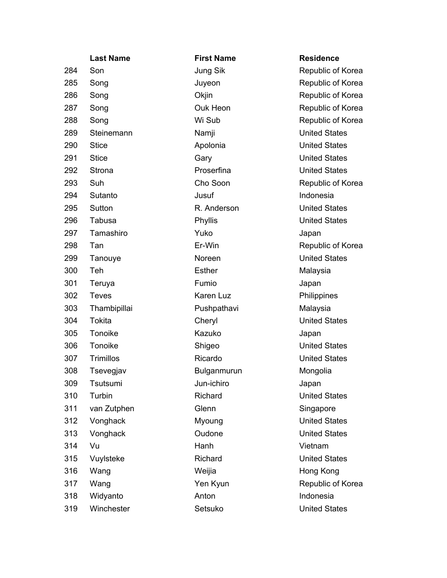|     | <b>Last Name</b> | <b>First Name</b>  | <b>Residence</b>     |
|-----|------------------|--------------------|----------------------|
| 284 | Son              | Jung Sik           | Republic of Korea    |
| 285 | Song             | Juyeon             | Republic of Korea    |
| 286 | Song             | Okjin              | Republic of Korea    |
| 287 | Song             | Ouk Heon           | Republic of Korea    |
| 288 | Song             | Wi Sub             | Republic of Korea    |
| 289 | Steinemann       | Namji              | <b>United States</b> |
| 290 | <b>Stice</b>     | Apolonia           | <b>United States</b> |
| 291 | <b>Stice</b>     | Gary               | <b>United States</b> |
| 292 | Strona           | Proserfina         | <b>United States</b> |
| 293 | Suh              | Cho Soon           | Republic of Korea    |
| 294 | Sutanto          | Jusuf              | Indonesia            |
| 295 | Sutton           | R. Anderson        | <b>United States</b> |
| 296 | Tabusa           | Phyllis            | <b>United States</b> |
| 297 | Tamashiro        | Yuko               | Japan                |
| 298 | Tan              | Er-Win             | Republic of Korea    |
| 299 | Tanouye          | Noreen             | <b>United States</b> |
| 300 | Teh              | <b>Esther</b>      | Malaysia             |
| 301 | Teruya           | Fumio              | Japan                |
| 302 | <b>Teves</b>     | <b>Karen Luz</b>   | Philippines          |
| 303 | Thambipillai     | Pushpathavi        | Malaysia             |
| 304 | Tokita           | Cheryl             | <b>United States</b> |
| 305 | Tonoike          | Kazuko             | Japan                |
| 306 | Tonoike          | Shigeo             | <b>United States</b> |
| 307 | Trimillos        | Ricardo            | <b>United States</b> |
| 308 | Tsevegjav        | <b>Bulganmurun</b> | Mongolia             |
| 309 | Tsutsumi         | Jun-ichiro         | Japan                |
| 310 | Turbin           | Richard            | <b>United States</b> |
| 311 | van Zutphen      | Glenn              | Singapore            |
| 312 | Vonghack         | Myoung             | <b>United States</b> |
| 313 | Vonghack         | Oudone             | <b>United States</b> |
| 314 | Vu               | Hanh               | Vietnam              |
| 315 | Vuylsteke        | Richard            | <b>United States</b> |
| 316 | Wang             | Weijia             | Hong Kong            |
| 317 | Wang             | Yen Kyun           | Republic of Korea    |
| 318 | Widyanto         | Anton              | Indonesia            |
| 319 | Winchester       | Setsuko            | <b>United States</b> |